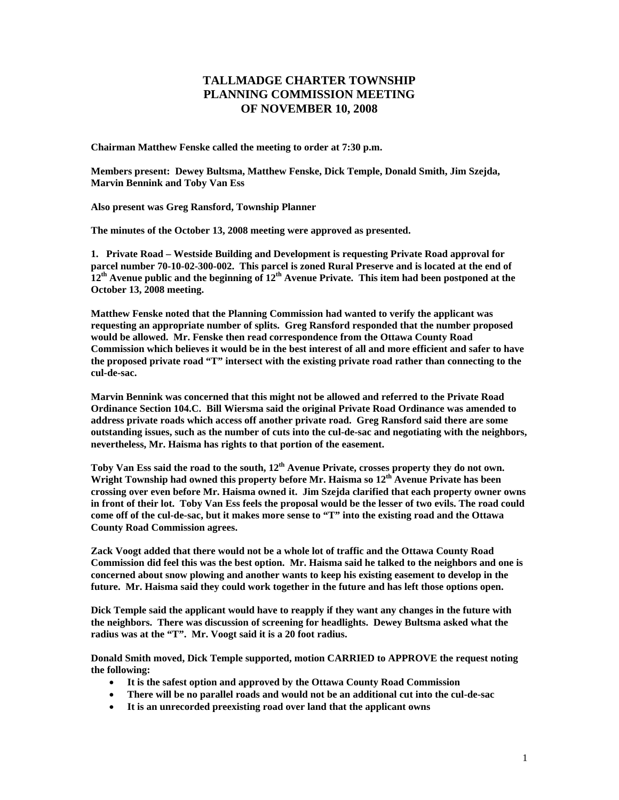## **TALLMADGE CHARTER TOWNSHIP PLANNING COMMISSION MEETING OF NOVEMBER 10, 2008**

**Chairman Matthew Fenske called the meeting to order at 7:30 p.m.** 

**Members present: Dewey Bultsma, Matthew Fenske, Dick Temple, Donald Smith, Jim Szejda, Marvin Bennink and Toby Van Ess** 

**Also present was Greg Ransford, Township Planner** 

**The minutes of the October 13, 2008 meeting were approved as presented.** 

**1. Private Road – Westside Building and Development is requesting Private Road approval for parcel number 70-10-02-300-002. This parcel is zoned Rural Preserve and is located at the end of**   $12<sup>th</sup>$  Avenue public and the beginning of  $12<sup>th</sup>$  Avenue Private. This item had been postponed at the **October 13, 2008 meeting.** 

**Matthew Fenske noted that the Planning Commission had wanted to verify the applicant was requesting an appropriate number of splits. Greg Ransford responded that the number proposed would be allowed. Mr. Fenske then read correspondence from the Ottawa County Road Commission which believes it would be in the best interest of all and more efficient and safer to have the proposed private road "T" intersect with the existing private road rather than connecting to the cul-de-sac.** 

**Marvin Bennink was concerned that this might not be allowed and referred to the Private Road Ordinance Section 104.C. Bill Wiersma said the original Private Road Ordinance was amended to address private roads which access off another private road. Greg Ransford said there are some outstanding issues, such as the number of cuts into the cul-de-sac and negotiating with the neighbors, nevertheless, Mr. Haisma has rights to that portion of the easement.** 

**Toby Van Ess said the road to the south, 12th Avenue Private, crosses property they do not own.**  Wright Township had owned this property before Mr. Haisma so 12<sup>th</sup> Avenue Private has been **crossing over even before Mr. Haisma owned it. Jim Szejda clarified that each property owner owns in front of their lot. Toby Van Ess feels the proposal would be the lesser of two evils. The road could come off of the cul-de-sac, but it makes more sense to "T" into the existing road and the Ottawa County Road Commission agrees.** 

**Zack Voogt added that there would not be a whole lot of traffic and the Ottawa County Road Commission did feel this was the best option. Mr. Haisma said he talked to the neighbors and one is concerned about snow plowing and another wants to keep his existing easement to develop in the future. Mr. Haisma said they could work together in the future and has left those options open.** 

**Dick Temple said the applicant would have to reapply if they want any changes in the future with the neighbors. There was discussion of screening for headlights. Dewey Bultsma asked what the radius was at the "T". Mr. Voogt said it is a 20 foot radius.** 

**Donald Smith moved, Dick Temple supported, motion CARRIED to APPROVE the request noting the following:** 

- **It is the safest option and approved by the Ottawa County Road Commission**
- **There will be no parallel roads and would not be an additional cut into the cul-de-sac**
- **It is an unrecorded preexisting road over land that the applicant owns**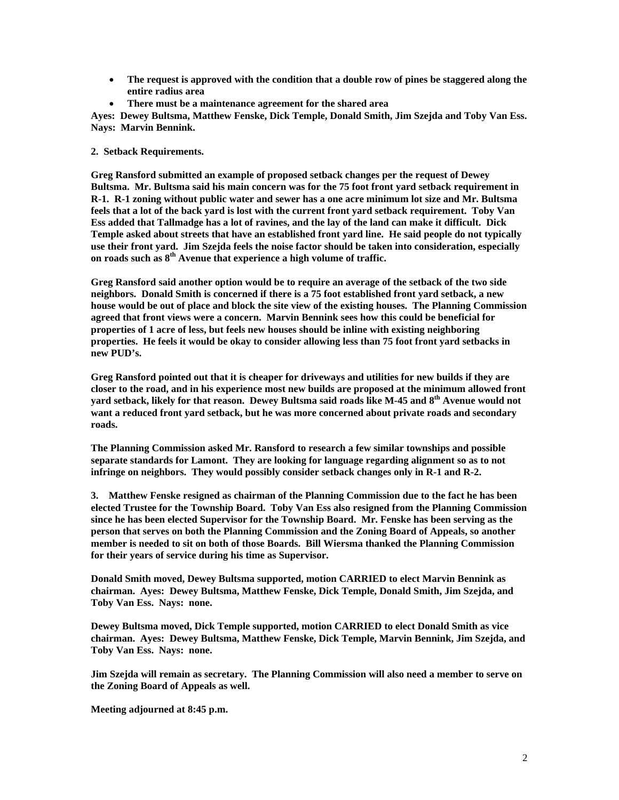- **The request is approved with the condition that a double row of pines be staggered along the entire radius area**
- **There must be a maintenance agreement for the shared area**

**Ayes: Dewey Bultsma, Matthew Fenske, Dick Temple, Donald Smith, Jim Szejda and Toby Van Ess. Nays: Marvin Bennink.** 

**2. Setback Requirements.** 

**Greg Ransford submitted an example of proposed setback changes per the request of Dewey Bultsma. Mr. Bultsma said his main concern was for the 75 foot front yard setback requirement in R-1. R-1 zoning without public water and sewer has a one acre minimum lot size and Mr. Bultsma feels that a lot of the back yard is lost with the current front yard setback requirement. Toby Van Ess added that Tallmadge has a lot of ravines, and the lay of the land can make it difficult. Dick Temple asked about streets that have an established front yard line. He said people do not typically use their front yard. Jim Szejda feels the noise factor should be taken into consideration, especially on roads such as 8th Avenue that experience a high volume of traffic.** 

**Greg Ransford said another option would be to require an average of the setback of the two side neighbors. Donald Smith is concerned if there is a 75 foot established front yard setback, a new house would be out of place and block the site view of the existing houses. The Planning Commission agreed that front views were a concern. Marvin Bennink sees how this could be beneficial for properties of 1 acre of less, but feels new houses should be inline with existing neighboring properties. He feels it would be okay to consider allowing less than 75 foot front yard setbacks in new PUD's.** 

**Greg Ransford pointed out that it is cheaper for driveways and utilities for new builds if they are closer to the road, and in his experience most new builds are proposed at the minimum allowed front yard setback, likely for that reason. Dewey Bultsma said roads like M-45 and 8th Avenue would not want a reduced front yard setback, but he was more concerned about private roads and secondary roads.** 

**The Planning Commission asked Mr. Ransford to research a few similar townships and possible separate standards for Lamont. They are looking for language regarding alignment so as to not infringe on neighbors. They would possibly consider setback changes only in R-1 and R-2.** 

**3. Matthew Fenske resigned as chairman of the Planning Commission due to the fact he has been elected Trustee for the Township Board. Toby Van Ess also resigned from the Planning Commission since he has been elected Supervisor for the Township Board. Mr. Fenske has been serving as the person that serves on both the Planning Commission and the Zoning Board of Appeals, so another member is needed to sit on both of those Boards. Bill Wiersma thanked the Planning Commission for their years of service during his time as Supervisor.** 

**Donald Smith moved, Dewey Bultsma supported, motion CARRIED to elect Marvin Bennink as chairman. Ayes: Dewey Bultsma, Matthew Fenske, Dick Temple, Donald Smith, Jim Szejda, and Toby Van Ess. Nays: none.** 

**Dewey Bultsma moved, Dick Temple supported, motion CARRIED to elect Donald Smith as vice chairman. Ayes: Dewey Bultsma, Matthew Fenske, Dick Temple, Marvin Bennink, Jim Szejda, and Toby Van Ess. Nays: none.** 

**Jim Szejda will remain as secretary. The Planning Commission will also need a member to serve on the Zoning Board of Appeals as well.** 

**Meeting adjourned at 8:45 p.m.**